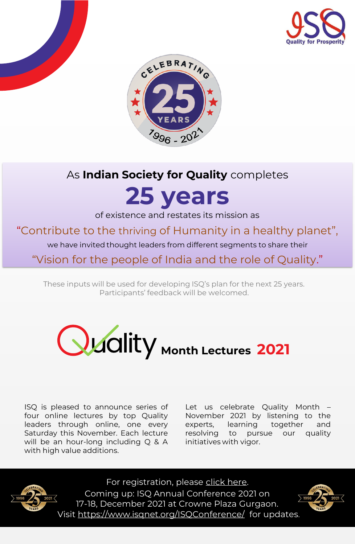



## As **Indian Society for Quality** completes

# **25 years**

of existence and restates its mission as

"Contribute to the thriving of Humanity in a healthy planet",

we have invited thought leaders from different segments to share their

"Vision for the people of India and the role of Quality."

These inputs will be used for developing ISQ's plan for the next 25 years. Participants' feedback will be welcomed.



ISQ is pleased to announce series of four online lectures by top Quality leaders through online, one every Saturday this November. Each lecture will be an hour-long including Q & A with high value additions.

Let us celebrate Quality Month – November 2021 by listening to the experts, learning together and resolving to pursue our quality initiatives with vigor.



For registration, please [click here.](https://docs.google.com/forms/d/e/1FAIpQLSe0llpWvQXRbTYpleKI0TRwykxPq4ZOjt4YbMqBmzVWRvku5g/viewform?usp=sf_link) Coming up: ISQ Annual Conference 2021 on 17-18, December 2021 at Crowne Plaza Gurgaon. Visit<https://www.isqnet.org/ISQConference/> for updates.

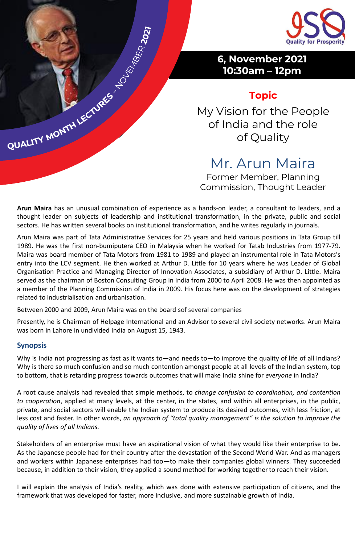

## **Topic**

My Vision for the People of India and the role of Quality

Mr. Arun Maira

Former Member, Planning Commission, Thought Leader

**Arun Maira** has an unusual combination of experience as a hands-on leader, a consultant to leaders, and a thought leader on subjects of leadership and institutional transformation, in the private, public and social sectors. He has written several books on institutional transformation, and he writes regularly in journals.

Arun Maira was part of Tata Administrative Services for 25 years and held various positions in Tata Group till 1989. He was the first non-bumiputera CEO in Malaysia when he worked for Tatab Industries from 1977-79. Maira was board member of Tata Motors from 1981 to 1989 and played an instrumental role in Tata Motors's entry into the LCV segment. He then worked at Arthur D. Little for 10 years where he was Leader of Global Organisation Practice and Managing Director of Innovation Associates, a subsidiary of Arthur D. Little. Maira served as the chairman of Boston Consulting Group in India from 2000 to April 2008. He was then appointed as a member of the Planning Commission of India in 2009. His focus here was on the development of strategies related to industrialisation and urbanisation.

Between 2000 and 2009, Arun Maira was on the board sof several companies

QUALITY MONTHLECTURES TO REAL POST

Presently, he is Chairman of Helpage International and an Advisor to several civil society networks. Arun Maira was born in Lahore in undivided India on August 15, 1943.

#### **Synopsis**

Why is India not progressing as fast as it wants to—and needs to—to improve the quality of life of all Indians? Why is there so much confusion and so much contention amongst people at all levels of the Indian system, top to bottom, that is retarding progress towards outcomes that will make India shine for *everyone* in India?

A root cause analysis had revealed that simple methods, to *change confusion to coordination, and contention to cooperation*, applied at many levels, at the center, in the states, and within all enterprises, in the public, private, and social sectors will enable the Indian system to produce its desired outcomes, with less friction, at less cost and faster. In other words, *an approach of "total quality management" is the solution to improve the quality of lives of all Indians.*

Stakeholders of an enterprise must have an aspirational vision of what they would like their enterprise to be. As the Japanese people had for their country after the devastation of the Second World War. And as managers and workers within Japanese enterprises had too—to make their companies global winners. They succeeded because, in addition to their vision, they applied a sound method for working togetherto reach their vision.

I will explain the analysis of India's reality, which was done with extensive participation of citizens, and the framework that was developed for faster, more inclusive, and more sustainable growth of India.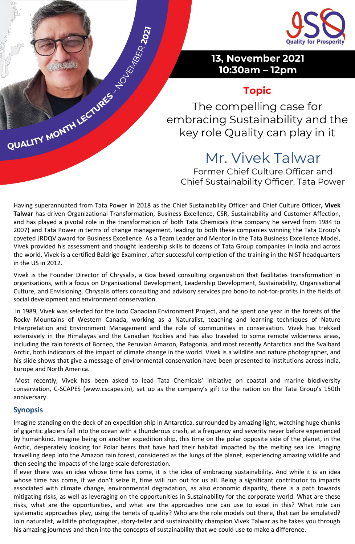

## **Topic**

The compelling case for embracing Sustainability and the key role Quality can play in it

## Mr. Vivek Talwar

Former Chief Culture Officer and Chief Sustainability Officer, Tata Power

Having superannuated from Tata Power in 2018 as the Chief Sustainability Officer and Chief Culture Officer**, Vivek Talwar** has driven Organizational Transformation, Business Excellence, CSR, Sustainability and Customer Affection, and has played a pivotal role in the transformation of both Tata Chemicals (the company he served from 1984 to 2007) and Tata Power in terms of change management, leading to both these companies winning the Tata Group's coveted JRDQV award for Business Excellence. As a Team Leader and Mentor in the Tata Business Excellence Model, Vivek provided his assessment and thought leadership skills to dozens of Tata Group companies in India and across the world. Vivek is a certified Baldrige Examiner, after successful completion of the training in the NIST headquarters in the US in 2012.

Vivek is the Founder Director of Chrysalis, a Goa based consulting organization that facilitates transformation in organisations, with a focus on Organisational Development, Leadership Development, Sustainability, Organisational Culture, and Envisioning. Chrysalis offers consulting and advisory services pro bono to not-for-profits in the fields of social development and environment conservation.

In 1989, Vivek was selected for the Indo Canadian Environment Project, and he spent one year in the forests of the Rocky Mountains of Western Canada, working as a Naturalist, teaching and learning techniques of Nature Interpretation and Environment Management and the role of communities in conservation. Vivek has trekked extensively in the Himalayas and the Canadian Rockies and has also traveled to some remote wilderness areas, including the rain forests of Borneo, the Peruvian Amazon, Patagonia, and most recently Antarctica and the Svalbard Arctic, both indicators of the impact of climate change in the world. Vivek is a wildlife and nature photographer, and his slide shows that give a message of environmental conservation have been presented to institutions across India, Europe and North America.

Most recently, Vivek has been asked to lead Tata Chemicals' initiative on coastal and marine biodiversity conservation, C-SCAPES (www.cscapes.in), set up as the company's gift to the nation on the Tata Group's 150th anniversary.

#### **Synopsis**

QUALITY MONTHI LECTURES TO REAL 2021

Imagine standing on the deck of an expedition ship in Antarctica, surrounded by amazing light, watching huge chunks of gigantic glaciers fall into the ocean with a thunderous crash, at a frequency and severity never before experienced by humankind. Imagine being on another expedition ship, this time on the polar opposite side of the planet, in the Arctic, desperately looking for Polar bears that have had their habitat impacted by the melting sea ice. Imaging travelling deep into the Amazon rain forest, considered as the lungs of the planet, experiencing amazing wildlife and then seeing the impacts of the large scale deforestation.

If ever there was an idea whose time has come, it is the idea of embracing sustainability. And while it is an idea whose time has come, if we don't seize it, time will run out for us all. Being a significant contributor to impacts associated with climate change, environmental degradation, as also economic disparity, there is a path towards mitigating risks, as well as leveraging on the opportunities in Sustainability for the corporate world. What are these risks, what are the opportunities, and what are the approaches one can use to excel in this? What role can systematic approaches play, using the tenets of quality? Who are the role models out there, that can be emulated? Join naturalist, wildlife photographer, story-teller and sustainability champion Vivek Talwar as he takes you through his amazing journeys and then into the concepts of sustainability that we could use to make a difference.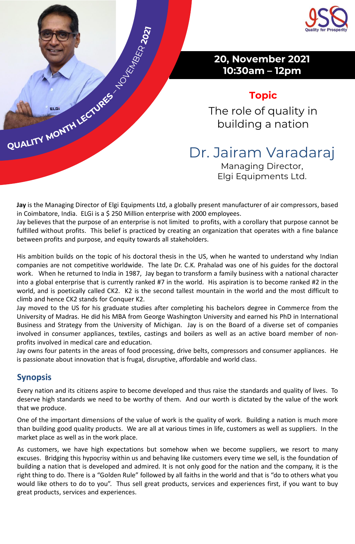

## **Topic**

The role of quality in building a nation

Dr. Jairam Varadaraj

Managing Director, Elgi Equipments Ltd.

**Jay** is the Managing Director of Elgi Equipments Ltd, a globally present manufacturer of air compressors, based in Coimbatore, India. ELGi is a \$ 250 Million enterprise with 2000 employees.

Jay believes that the purpose of an enterprise is not limited to profits, with a corollary that purpose cannot be fulfilled without profits. This belief is practiced by creating an organization that operates with a fine balance between profits and purpose, and equity towards all stakeholders.

His ambition builds on the topic of his doctoral thesis in the US, when he wanted to understand why Indian companies are not competitive worldwide. The late Dr. C.K. Prahalad was one of his guides for the doctoral work. When he returned to India in 1987, Jay began to transform a family business with a national character into a global enterprise that is currently ranked #7 in the world. His aspiration is to become ranked #2 in the world, and is poetically called CK2. K2 is the second tallest mountain in the world and the most difficult to climb and hence CK2 stands for Conquer K2.

Jay moved to the US for his graduate studies after completing his bachelors degree in Commerce from the University of Madras. He did his MBA from George Washington University and earned his PhD in International Business and Strategy from the University of Michigan. Jay is on the Board of a diverse set of companies involved in consumer appliances, textiles, castings and boilers as well as an active board member of nonprofits involved in medical care and education.

Jay owns four patents in the areas of food processing, drive belts, compressors and consumer appliances. He is passionate about innovation that is frugal, disruptive, affordable and world class.

### **Synopsis**

QUALITY MONTH LECTURES

Every nation and its citizens aspire to become developed and thus raise the standards and quality of lives. To deserve high standards we need to be worthy of them. And our worth is dictated by the value of the work that we produce.

One of the important dimensions of the value of work is the quality of work. Building a nation is much more than building good quality products. We are all at various times in life, customers as well as suppliers. In the market place as well as in the work place.

As customers, we have high expectations but somehow when we become suppliers, we resort to many excuses. Bridging this hypocrisy within us and behaving like customers every time we sell, is the foundation of building a nation that is developed and admired. It is not only good for the nation and the company, it is the right thing to do. There is a "Golden Rule" followed by all faiths in the world and that is "do to others what you would like others to do to you". Thus sell great products, services and experiences first, if you want to buy great products, services and experiences.